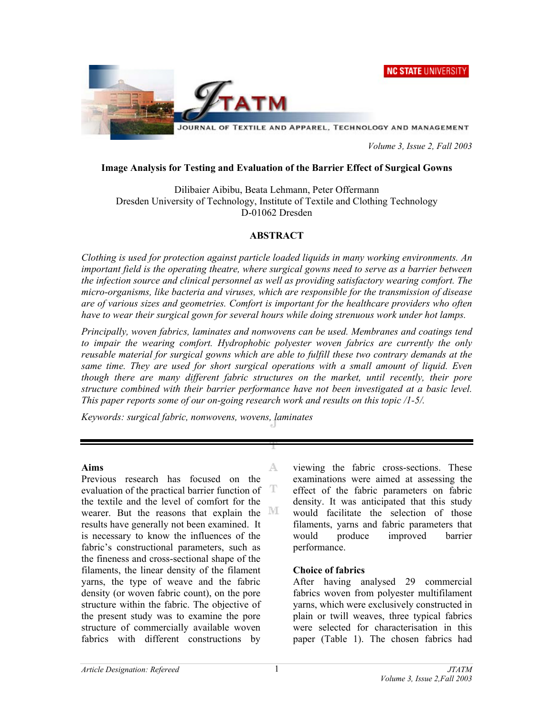



 *Volume 3, Issue 2, Fall 2003* 

#### **Image Analysis for Testing and Evaluation of the Barrier Effect of Surgical Gowns**

Dilibaier Aibibu, Beata Lehmann, Peter Offermann Dresden University of Technology, Institute of Textile and Clothing Technology D-01062 Dresden

# **ABSTRACT**

*Clothing is used for protection against particle loaded liquids in many working environments. An important field is the operating theatre, where surgical gowns need to serve as a barrier between the infection source and clinical personnel as well as providing satisfactory wearing comfort. The micro-organisms, like bacteria and viruses, which are responsible for the transmission of disease are of various sizes and geometries. Comfort is important for the healthcare providers who often have to wear their surgical gown for several hours while doing strenuous work under hot lamps.* 

*Principally, woven fabrics, laminates and nonwovens can be used. Membranes and coatings tend to impair the wearing comfort. Hydrophobic polyester woven fabrics are currently the only reusable material for surgical gowns which are able to fulfill these two contrary demands at the*  same time. They are used for short surgical operations with a small amount of liquid. Even *though there are many different fabric structures on the market, until recently, their pore structure combined with their barrier performance have not been investigated at a basic level. This paper reports some of our on-going research work and results on this topic /1-5/.* 

A

*Keywords: surgical fabric, nonwovens, wovens, laminates* 

#### **Aims**

Previous research has focused on the evaluation of the practical barrier function of T the textile and the level of comfort for the wearer. But the reasons that explain the  $\mathbb M$ results have generally not been examined. It is necessary to know the influences of the fabric's constructional parameters, such as the fineness and cross-sectional shape of the filaments, the linear density of the filament yarns, the type of weave and the fabric density (or woven fabric count), on the pore structure within the fabric. The objective of the present study was to examine the pore structure of commercially available woven fabrics with different constructions by

viewing the fabric cross-sections. These examinations were aimed at assessing the effect of the fabric parameters on fabric density. It was anticipated that this study would facilitate the selection of those filaments, yarns and fabric parameters that would produce improved barrier performance.

# **Choice of fabrics**

After having analysed 29 commercial fabrics woven from polyester multifilament yarns, which were exclusively constructed in plain or twill weaves, three typical fabrics were selected for characterisation in this paper (Table 1). The chosen fabrics had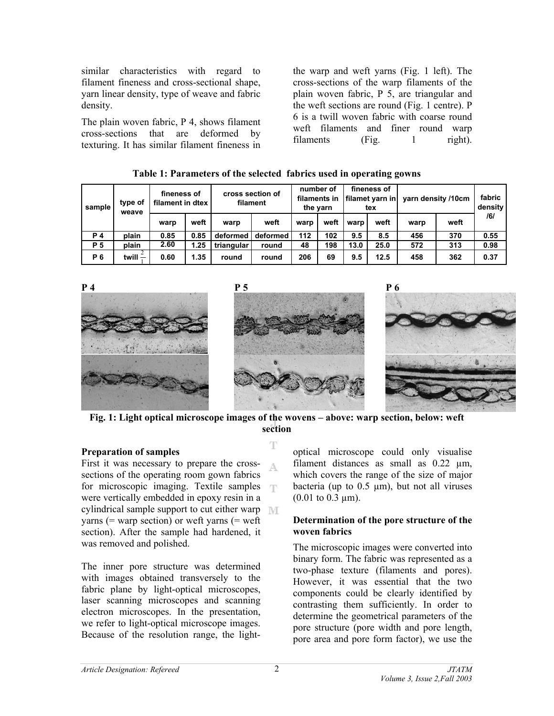similar characteristics with regard to filament fineness and cross-sectional shape, yarn linear density, type of weave and fabric density.

The plain woven fabric, P 4, shows filament cross-sections that are deformed by texturing. It has similar filament fineness in the warp and weft yarns (Fig. 1 left). The cross-sections of the warp filaments of the plain woven fabric, P 5, are triangular and the weft sections are round (Fig. 1 centre). P 6 is a twill woven fabric with coarse round weft filaments and finer round warp filaments (Fig. 1 right).

| THOIC IT I BE BILLEVED OF THE DELECTED THOITED MOVE IN OPERATING CONTROL |                   |                                 |      |                              |          |                                       |      |                                       |      |                    |      |                   |
|--------------------------------------------------------------------------|-------------------|---------------------------------|------|------------------------------|----------|---------------------------------------|------|---------------------------------------|------|--------------------|------|-------------------|
| sample                                                                   | type of<br>weave  | fineness of<br>filament in dtex |      | cross section of<br>filament |          | number of<br>filaments in<br>the yarn |      | fineness of<br>filamet varn in<br>tex |      | yarn density /10cm |      | fabric<br>density |
|                                                                          |                   | warp                            | weft | warp                         | weft     | warp                                  | weft | warp                                  | weft | warp               | weft | /6/               |
| <b>P4</b>                                                                | plain             | 0.85                            | 0.85 | deformed                     | deformed | 112                                   | 102  | 9.5                                   | 8.5  | 456                | 370  | 0.55              |
| <b>P</b> 5                                                               | plain             | 2.60                            | 1.25 | triangular                   | round    | 48                                    | 198  | 13.0                                  | 25.0 | 572                | 313  | 0.98              |
| <b>P6</b>                                                                | twill $\tilde{-}$ | 0.60                            | 1.35 | round                        | round    | 206                                   | 69   | 9.5                                   | 12.5 | 458                | 362  | 0.37              |



**Fig. 1: Light optical microscope images of the wovens – above: warp section, below: weft section** 

T

# **Preparation of samples**

First it was necessary to prepare the cross-А. sections of the operating room gown fabrics for microscopic imaging. Textile samples m were vertically embedded in epoxy resin in a cylindrical sample support to cut either warp varns (= warp section) or weft yarns (= weft) section). After the sample had hardened, it was removed and polished.

The inner pore structure was determined with images obtained transversely to the fabric plane by light-optical microscopes, laser scanning microscopes and scanning electron microscopes. In the presentation, we refer to light-optical microscope images. Because of the resolution range, the lightoptical microscope could only visualise filament distances as small as  $0.22 \mu m$ , which covers the range of the size of major bacteria (up to  $0.5 \mu m$ ), but not all viruses  $(0.01 \text{ to } 0.3 \text{ µm})$ .

#### **Determination of the pore structure of the woven fabrics**

The microscopic images were converted into binary form. The fabric was represented as a two-phase texture (filaments and pores). However, it was essential that the two components could be clearly identified by contrasting them sufficiently. In order to determine the geometrical parameters of the pore structure (pore width and pore length, pore area and pore form factor), we use the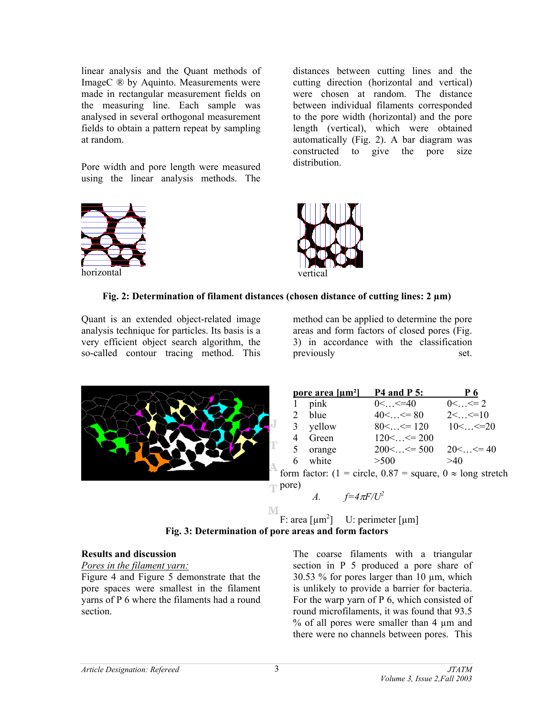linear analysis and the Quant methods of ImageC ® by Aquinto. Measurements were made in rectangular measurement fields on the measuring line. Each sample was analysed in several orthogonal measurement fields to obtain a pattern repeat by sampling at random.

Pore width and pore length were measured using the linear analysis methods. The



distances between cutting lines and the cutting direction (horizontal and vertical) were chosen at random. The distance between individual filaments corresponded to the pore width (horizontal) and the pore length (vertical), which were obtained automatically (Fig. 2). A bar diagram was constructed to give the pore size distribution.



# **Fig. 2: Determination of filament distances (chosen distance of cutting lines: 2 µm)**

Quant is an extended object-related image analysis technique for particles. Its basis is a very efficient object search algorithm, the so-called contour tracing method. This

method can be applied to determine the pore areas and form factors of closed pores (Fig. 3) in accordance with the classification previously set.



| pore area [µm <sup>2</sup> ]       | <b>P4 and P 5:</b>                      | P <sub>6</sub>              |  |  |  |
|------------------------------------|-----------------------------------------|-----------------------------|--|--|--|
| 1 pink                             | $0<>=40$                                | $0<>=2$                     |  |  |  |
| 2 blue                             | $40<>=80$                               | $2<>=10$                    |  |  |  |
| 3 yellow                           | $80<<=120$                              | $10<>=20$                   |  |  |  |
| 4 Green                            | $120<<=200$                             |                             |  |  |  |
| 5 orange                           | $200<>=500$                             | $20<>=40$                   |  |  |  |
| 6 white                            | > 500                                   | >40                         |  |  |  |
| $\sim$ $\sim$ $\sim$ $\sim$ $\sim$ | $\cdot$ $\cdot$ $\cdot$ $\cdot$ $\cdot$ | $\sim$ $\sim$ $\sim$ $\sim$ |  |  |  |

form factor: (1 = circle,  $0.87$  = square,  $0 \approx$  long stretch pore)



M F: area  $\lceil \mu m^2 \rceil$  U: perimeter  $\lceil \mu m \rceil$ **Fig. 3: Determination of pore areas and form factors** 

#### **Results and discussion**

*Pores in the filament yarn:*

Figure 4 and Figure 5 demonstrate that the pore spaces were smallest in the filament yarns of P 6 where the filaments had a round section.

The coarse filaments with a triangular section in P 5 produced a pore share of 30.53 % for pores larger than 10 µm, which is unlikely to provide a barrier for bacteria. For the warp yarn of P 6, which consisted of round microfilaments, it was found that 93.5 % of all pores were smaller than 4 µm and there were no channels between pores. This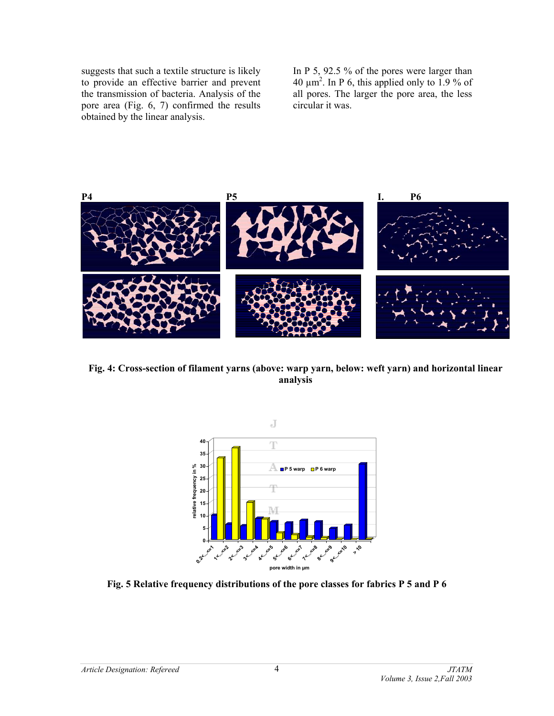suggests that such a textile structure is likely to provide an effective barrier and prevent the transmission of bacteria. Analysis of the pore area (Fig. 6, 7) confirmed the results obtained by the linear analysis.

In P 5, 92.5 % of the pores were larger than 40  $\mu$ m<sup>2</sup>. In P 6, this applied only to 1.9 % of all pores. The larger the pore area, the less circular it was.



**Fig. 4: Cross-section of filament yarns (above: warp yarn, below: weft yarn) and horizontal linear analysis**



**Fig. 5 Relative frequency distributions of the pore classes for fabrics P 5 and P 6**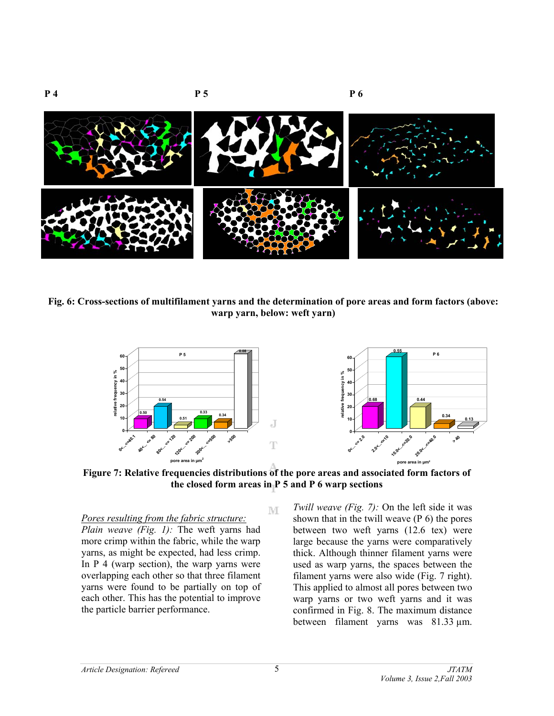

**Fig. 6: Cross-sections of multifilament yarns and the determination of pore areas and form factors (above: warp yarn, below: weft yarn)**



**Figure 7: Relative frequencies distributions of the pore areas and associated form factors of the closed form areas in P 5 and P 6 warp sections** 

M

*Pores resulting from the fabric structure:*

*Plain weave (Fig. 1):* The weft yarns had more crimp within the fabric, while the warp yarns, as might be expected, had less crimp. In  $P_4$  (warp section), the warp yarns were overlapping each other so that three filament yarns were found to be partially on top of each other. This has the potential to improve the particle barrier performance.

*Twill weave (Fig. 7):* On the left side it was shown that in the twill weave (P 6) the pores between two weft yarns (12.6 tex) were large because the yarns were comparatively thick. Although thinner filament yarns were used as warp yarns, the spaces between the filament yarns were also wide (Fig. 7 right). This applied to almost all pores between two warp yarns or two weft yarns and it was confirmed in Fig. 8. The maximum distance between filament yarns was 81.33 µm.

5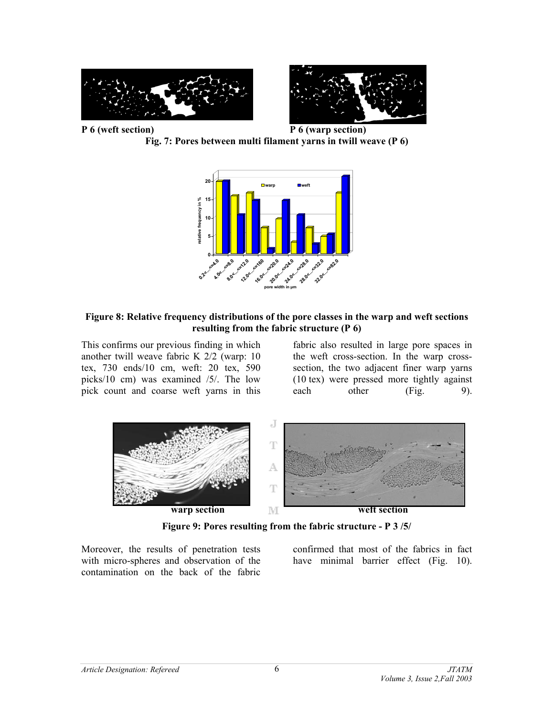

**Fig. 7: Pores between multi filament yarns in twill weave (P 6)** 



### **Figure 8: Relative frequency distributions of the pore classes in the warp and weft sections resulting from the fabric structure (P 6)**

This confirms our previous finding in which another twill weave fabric K 2/2 (warp: 10 tex, 730 ends/10 cm, weft: 20 tex, 590 picks/10 cm) was examined /5/. The low pick count and coarse weft yarns in this

fabric also resulted in large pore spaces in the weft cross-section. In the warp crosssection, the two adjacent finer warp yarns (10 tex) were pressed more tightly against each other (Fig. 9).



**Figure 9: Pores resulting from the fabric structure - P 3 /5/**

Moreover, the results of penetration tests with micro-spheres and observation of the contamination on the back of the fabric

confirmed that most of the fabrics in fact have minimal barrier effect (Fig. 10).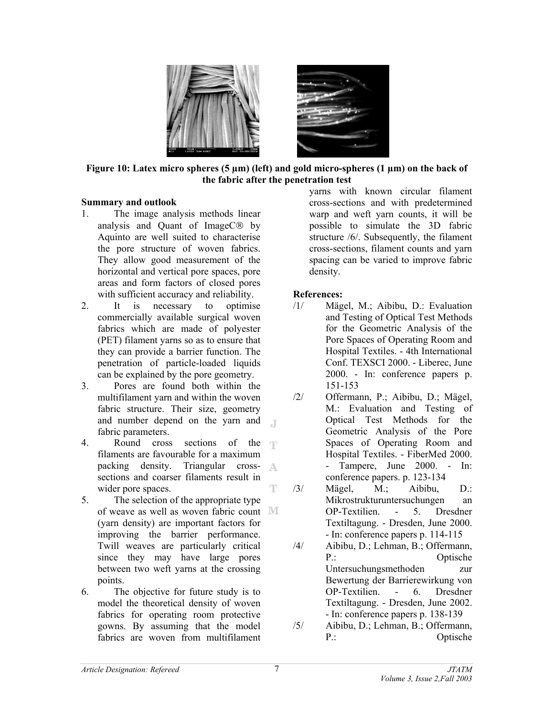

**Figure 10: Latex micro spheres (5 µm) (left) and gold micro-spheres (1 µm) on the back of the fabric after the penetration test** 

#### **Summary and outlook**

- 1. The image analysis methods linear analysis and Quant of Image $C$  $\circledR$  by Aquinto are well suited to characterise the pore structure of woven fabrics. They allow good measurement of the horizontal and vertical pore spaces, pore areas and form factors of closed pores with sufficient accuracy and reliability.
- 2. It is necessary to optimise commercially available surgical woven fabrics which are made of polyester (PET) filament yarns so as to ensure that they can provide a barrier function. The penetration of particle-loaded liquids can be explained by the pore geometry.
- 3. Pores are found both within the multifilament yarn and within the woven fabric structure. Their size, geometry and number depend on the yarn and  $\Box$ fabric parameters.
- 4. Round cross sections of the filaments are favourable for a maximum packing density. Triangular cross-A sections and coarser filaments result in T wider pore spaces.
- 5. The selection of the appropriate type of weave as well as woven fabric count (yarn density) are important factors for improving the barrier performance. Twill weaves are particularly critical since they may have large pores between two weft yarns at the crossing points.
- 6. The objective for future study is to model the theoretical density of woven fabrics for operating room protective gowns. By assuming that the model fabrics are woven from multifilament

yarns with known circular filament cross-sections and with predetermined warp and weft yarn counts, it will be possible to simulate the 3D fabric structure /6/. Subsequently, the filament cross-sections, filament counts and yarn spacing can be varied to improve fabric density.

# **References:**

- /1/ Mägel, M.; Aibibu, D.: Evaluation and Testing of Optical Test Methods for the Geometric Analysis of the Pore Spaces of Operating Room and Hospital Textiles. - 4th International Conf. TEXSCI 2000. - Liberec, June 2000. - In: conference papers p. 151-153
- /2/ Offermann, P.; Aibibu, D.; Mägel, M.: Evaluation and Testing of Optical Test Methods for the Geometric Analysis of the Pore Spaces of Operating Room and Hospital Textiles. - FiberMed 2000. - Tampere, June 2000. - In: conference papers. p. 123-134
- /3/ Mägel, M.; Aibibu, D.: Mikrostrukturuntersuchungen an OP-Textilien. - 5. Dresdner Textiltagung. - Dresden, June 2000. - In: conference papers p. 114-115
- /4/ Aibibu, D.; Lehman, B.; Offermann, P.: Optische Untersuchungsmethoden zur Bewertung der Barrierewirkung von OP-Textilien. - 6. Dresdner Textiltagung. - Dresden, June 2002. - In: conference papers p. 138-139
- /5/ Aibibu, D.; Lehman, B.; Offermann, P.: Optische